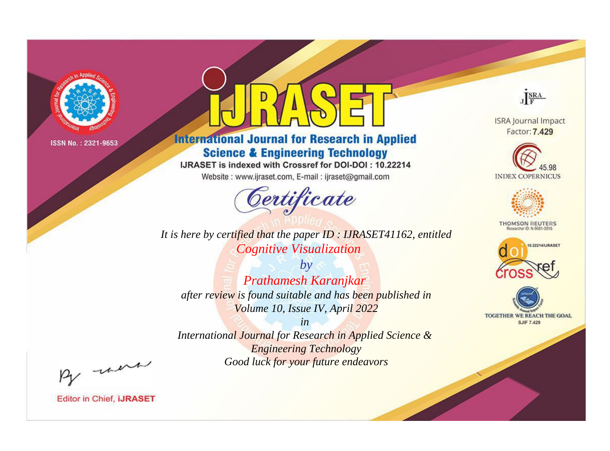

# **International Journal for Research in Applied Science & Engineering Technology**

IJRASET is indexed with Crossref for DOI-DOI: 10.22214

Website: www.ijraset.com, E-mail: ijraset@gmail.com



JERA

**ISRA Journal Impact** Factor: 7.429





**THOMSON REUTERS** 



TOGETHER WE REACH THE GOAL **SJIF 7.429** 

*It is here by certified that the paper ID : IJRASET41162, entitled Cognitive Visualization*

*Prathamesh Karanjkar after review is found suitable and has been published in Volume 10, Issue IV, April 2022*

*by*

*in International Journal for Research in Applied Science &* 

*Engineering Technology Good luck for your future endeavors*

By morn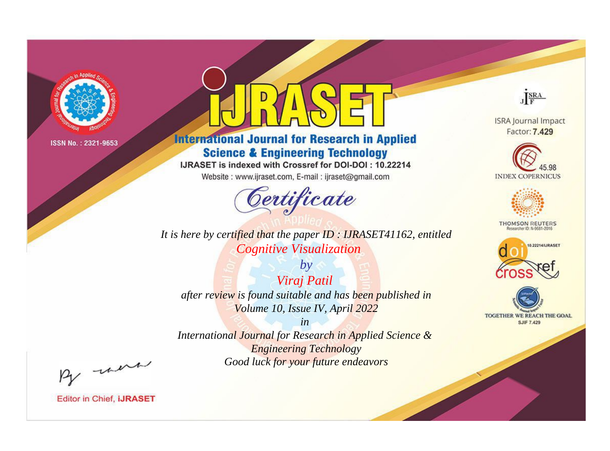

# **International Journal for Research in Applied Science & Engineering Technology**

IJRASET is indexed with Crossref for DOI-DOI: 10.22214

Website: www.ijraset.com, E-mail: ijraset@gmail.com



**ISRA Journal Impact** 

JERA

Factor: 7.429





**THOMSON REUTERS** 



TOGETHER WE REACH THE GOAL **SJIF 7.429** 

*It is here by certified that the paper ID : IJRASET41162, entitled Cognitive Visualization*

*by Viraj Patil after review is found suitable and has been published in Volume 10, Issue IV, April 2022*

*in* 

*International Journal for Research in Applied Science & Engineering Technology Good luck for your future endeavors*

By morn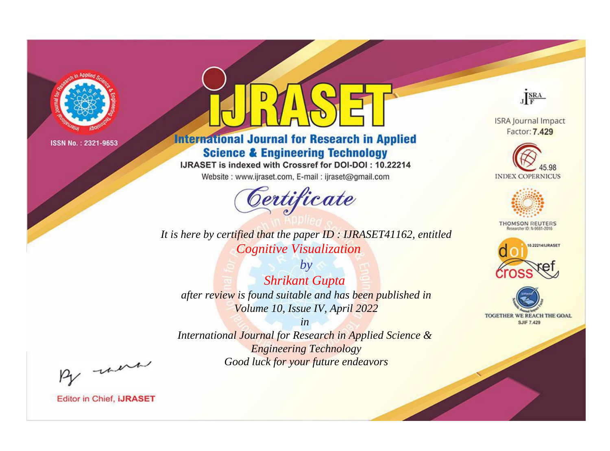

# **International Journal for Research in Applied Science & Engineering Technology**

IJRASET is indexed with Crossref for DOI-DOI: 10.22214

Website: www.ijraset.com, E-mail: ijraset@gmail.com



*It is here by certified that the paper ID : IJRASET41162, entitled Cognitive Visualization*

*by Shrikant Gupta after review is found suitable and has been published in Volume 10, Issue IV, April 2022*

*in International Journal for Research in Applied Science & Engineering Technology Good luck for your future endeavors*



**ISRA Journal Impact** Factor: 7.429





**THOMSON REUTERS** 





By morn